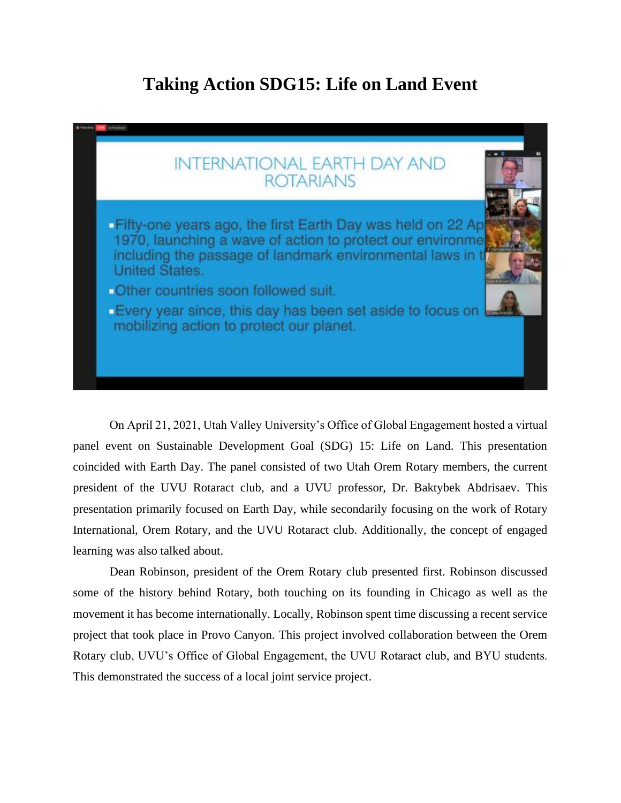## **Taking Action SDG15: Life on Land Event**



On April 21, 2021, Utah Valley University's Office of Global Engagement hosted a virtual panel event on Sustainable Development Goal (SDG) 15: Life on Land. This presentation coincided with Earth Day. The panel consisted of two Utah Orem Rotary members, the current president of the UVU Rotaract club, and a UVU professor, Dr. Baktybek Abdrisaev. This presentation primarily focused on Earth Day, while secondarily focusing on the work of Rotary International, Orem Rotary, and the UVU Rotaract club. Additionally, the concept of engaged learning was also talked about.

Dean Robinson, president of the Orem Rotary club presented first. Robinson discussed some of the history behind Rotary, both touching on its founding in Chicago as well as the movement it has become internationally. Locally, Robinson spent time discussing a recent service project that took place in Provo Canyon. This project involved collaboration between the Orem Rotary club, UVU's Office of Global Engagement, the UVU Rotaract club, and BYU students. This demonstrated the success of a local joint service project.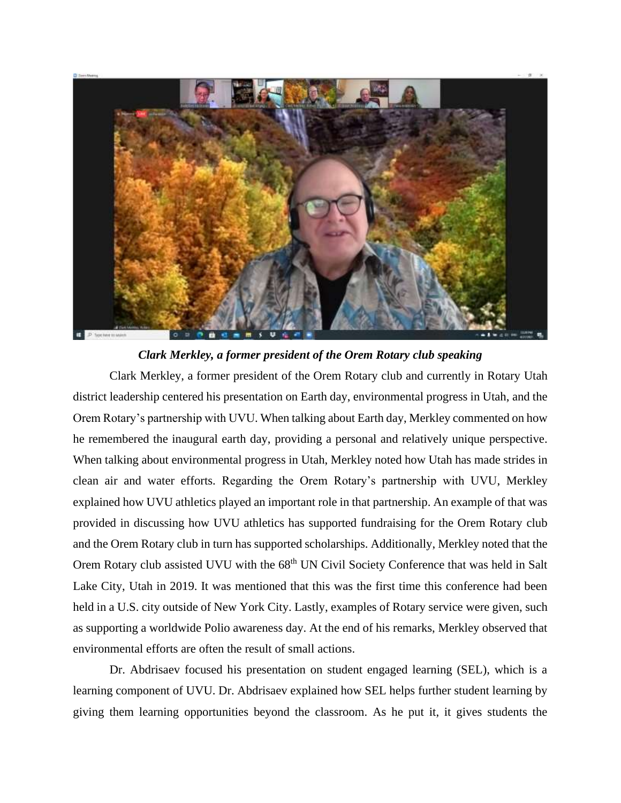

*Clark Merkley, a former president of the Orem Rotary club speaking*

Clark Merkley, a former president of the Orem Rotary club and currently in Rotary Utah district leadership centered his presentation on Earth day, environmental progress in Utah, and the Orem Rotary's partnership with UVU. When talking about Earth day, Merkley commented on how he remembered the inaugural earth day, providing a personal and relatively unique perspective. When talking about environmental progress in Utah, Merkley noted how Utah has made strides in clean air and water efforts. Regarding the Orem Rotary's partnership with UVU, Merkley explained how UVU athletics played an important role in that partnership. An example of that was provided in discussing how UVU athletics has supported fundraising for the Orem Rotary club and the Orem Rotary club in turn has supported scholarships. Additionally, Merkley noted that the Orem Rotary club assisted UVU with the 68<sup>th</sup> UN Civil Society Conference that was held in Salt Lake City, Utah in 2019. It was mentioned that this was the first time this conference had been held in a U.S. city outside of New York City. Lastly, examples of Rotary service were given, such as supporting a worldwide Polio awareness day. At the end of his remarks, Merkley observed that environmental efforts are often the result of small actions.

Dr. Abdrisaev focused his presentation on student engaged learning (SEL), which is a learning component of UVU. Dr. Abdrisaev explained how SEL helps further student learning by giving them learning opportunities beyond the classroom. As he put it, it gives students the